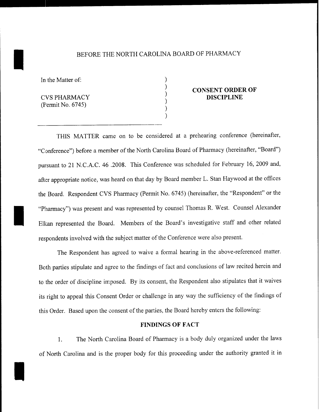# BEFORE THE NORTH CAROLINA BOARD OF PHARMACY

) ) ) ) ) )

In the Matter of:

CVSPHARMACY (Permit No. 6745)

I

I

## **CONSENT ORDER OF DISCIPLINE**

THIS MATTER came on to be considered at a prehearing conference (hereinafter, "Conference") before a member of the North Carolina Board of Pharmacy (hereinafter, "Board") pursuant to 21 N.C.A.C. 46 .2008. This Conference was scheduled for February 16, 2009 and, after appropriate notice, was heard on that day by Board member L. Stan Haywood at the offices the Board. Respondent CVS Pharmacy (Permit No. 6745) (hereinafter, the "Respondent" or the "Pharmacy") was present and was represented by counsel Thomas R. West. Counsel Alexander Elkan represented the Board. Members of the Board's investigative staff and other related respondents involved with the subject matter of the Conference were also present.

The Respondent has agreed to waive a formal hearing in the above-referenced matter. Both parties stipulate and agree to the findings of fact and conclusions of law recited herein and to the order of discipline imposed. By its consent, the Respondent also stipulates that it waives its right to appeal this Consent Order or challenge in any way the sufficiency of the findings of this Order. Based upon the consent of the parties, the Board hereby enters the following:

#### **FINDINGS OF FACT**

1. The North Carolina Board of Pharmacy is a body duly organized under the laws of North Carolina and is the proper body for this proceeding under the authority granted it in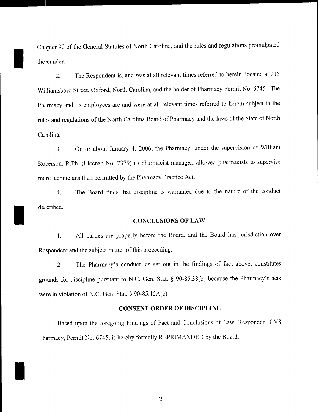Chapter 90 of the General Statutes of North Carolina, and the rules and regulations promulgated thereunder.

I

I

I

2. The Respondent is, and was at all relevant times referred to herein, located at 215 Williamsboro Street, Oxford, North Carolina, and the holder of Pharmacy Permit No. 6745. The Pharmacy and its employees are and were at all relevant times referred to herein subject to the rules and regulations of the North Carolina Board of Pharmacy and the laws of the State of North Carolina.

3. On or about January 4, 2006, the Pharmacy, under the supervision of William Roberson, RPh. (License Ko. 7379) as pharmacist manager, allowed pharmacists to supervise more technicians than permitted by the Pharmacy Practice Act.

4. The Board finds that discipline is warranted due to the nature of the conduct described.

#### **CONCLUSIONS OF LAW**

1. All parties are properly before the Board, and the Board has jurisdiction over Respondent and the subject matter of this proceeding.

2. The Pharmacy's conduct, as set out in the findings of fact above, constitutes grounds for discipline pursuant to N.C. Gen. Stat. § 90-85.38(b) because the Pharmacy's acts were in violation of N.C. Gen. Stat. § 90-85.15A(c).

### **CONSENT ORDER OF DISCIPLINE**

Based upon the foregoing Findings of Fact and Conclusions of Law, Respondent CVS Pharmacy, Permit No. 6745, is hereby formally REPRIMANDED by the Board.

2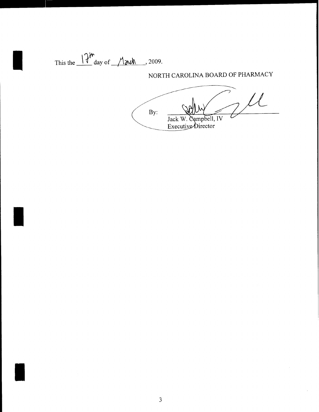This the  $17^m$  day of  $M$  and  $\sim$ , 2009.

NORTH CAROLINA BOARD OF PHARMACY

 $\mathcal{U}_1$  $By:$ Jack W. Campbell, IV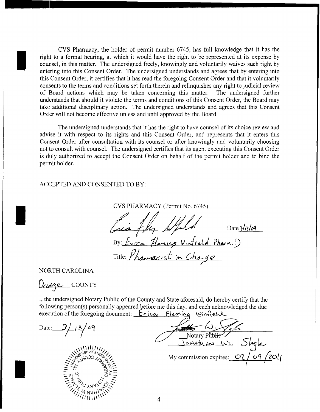CVS Pharmacy, the holder of permit number 6745, has full knowledge that it has the right to a formal hearing, at which it would have the right to be represented at its expense by counsel, in this matter. The undersigned freely, knowingly and voluntarily waives such right by entering into this Consent Order. The undersigned understands and agrees that by entering into this Consent Order, it certifies that it has read the foregoing Consent Order and that it voluntarily consents to the terms and conditions set forth therein and relinquishes any right to judicial review of Board actions which may be taken concerning this matter. The undersigned further understands that should it violate the terms and conditions of this Consent Order, the Board may take additional disciplinary action. The undersigned understands and agrees that this Consent Order will not become effective unless and until approved by the Board.

The undersigned understands that it has the right to have counsel of its choice review and advise it with respect to its rights and this Consent Order, and represents that it enters this Consent Order after consultation with its counsel or after knowingly and voluntarily choosing not to consult with counsel. The undersigned certifies that its agent executing this Consent Order is duly authorized to accept the Consent Order on behalf of the permit holder and to bind the permit holder.

ACCEPTED AND CONSENTED TO BY:

CVS PHARMACY (Permit No. 6745) CVS PHARMACY (Permit No. 6745)<br>Carà 7 ly Nyell<br>Carà 7 ly Nyell By: *Erica*. Heming Untreld Pharm. D Title: *Yhaxmacist* in *Change* 

NORTH CAROLINA

I

I

I

0e6/l *t* J*e..--* COUNTY

I, the undersigned Notary Public of the County and State aforesaid, do hereby certify that the following person(s) personally appeared before me this day, and each acknowledged the due execution of the foregoing document:  $\mathbf{r} \cdot \mathbf{i}$  ca. Fleming  $\omega$  infield

Date: 3/13/09



Notary Public ]";NAfu~ ~. c.Skl-e..-= \\\\111111/ *0*  $\sum_{1}^{1} \sum_{0}^{1} \sum_{0}^{1} \sum_{0}^{1} \sum_{i=1}^{1} \sum_{j=1}^{j} \sum_{j=1}^{j} \sum_{j=1}^{j} \sum_{j=1}^{j} \sum_{j=1}^{j} \sum_{j=1}^{j} \sum_{j=1}^{j} \sum_{j=1}^{j} \sum_{j=1}^{j} \sum_{j=1}^{j} \sum_{j=1}^{j} \sum_{j=1}^{j} \sum_{j=1}^{j} \sum_{j=1}^{j} \sum_{j=1}^{j} \sum_{j=1}^{j} \sum_{j=1}^{j} \sum_{j=1}^{$  $\sum_{i=1}^{\infty}$   $\sum_{i=1}^{\infty}$   $\sum_{i=1}^{\infty}$  My commission expires:  $\sum_{i=1}^{\infty}$  $\mathcal{T}$  $/$ 09 $/$ 20 $/$